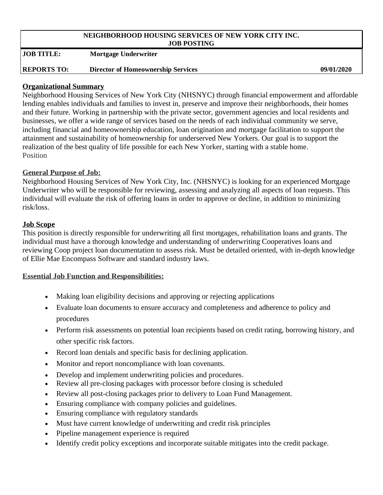#### **NEIGHBORHOOD HOUSING SERVICES OF NEW YORK CITY INC. JOB POSTING**

**JOB TITLE: Mortgage Underwriter**

### **REPORTS TO: Director of Homeownership Services 09/01/2020**

### **Organizational Summary**

Neighborhood Housing Services of New York City (NHSNYC) through financial empowerment and affordable lending enables individuals and families to invest in, preserve and improve their neighborhoods, their homes and their future. Working in partnership with the private sector, government agencies and local residents and businesses, we offer a wide range of services based on the needs of each individual community we serve, including financial and homeownership education, loan origination and mortgage facilitation to support the attainment and sustainability of homeownership for underserved New Yorkers. Our goal is to support the realization of the best quality of life possible for each New Yorker, starting with a stable home. Position

### **General Purpose of Job:**

Neighborhood Housing Services of New York City, Inc. (NHSNYC) is looking for an experienced Mortgage Underwriter who will be responsible for reviewing, assessing and analyzing all aspects of loan requests. This individual will evaluate the risk of offering loans in order to approve or decline, in addition to minimizing risk/loss.

#### **Job Scope**

This position is directly responsible for underwriting all first mortgages, rehabilitation loans and grants. The individual must have a thorough knowledge and understanding of underwriting Cooperatives loans and reviewing Coop project loan documentation to assess risk. Must be detailed oriented, with in-depth knowledge of Ellie Mae Encompass Software and standard industry laws.

### **Essential Job Function and Responsibilities:**

- Making loan eligibility decisions and approving or rejecting applications
- Evaluate loan documents to ensure accuracy and completeness and adherence to policy and procedures
- Perform risk assessments on potential loan recipients based on credit rating, borrowing history, and other specific risk factors.
- Record loan denials and specific basis for declining application.
- Monitor and report noncompliance with loan covenants.
- Develop and implement underwriting policies and procedures.
- Review all pre-closing packages with processor before closing is scheduled
- Review all post-closing packages prior to delivery to Loan Fund Management.
- Ensuring compliance with company policies and guidelines.
- Ensuring compliance with regulatory standards
- Must have current knowledge of underwriting and credit risk principles
- Pipeline management experience is required
- Identify credit policy exceptions and incorporate suitable mitigates into the credit package.